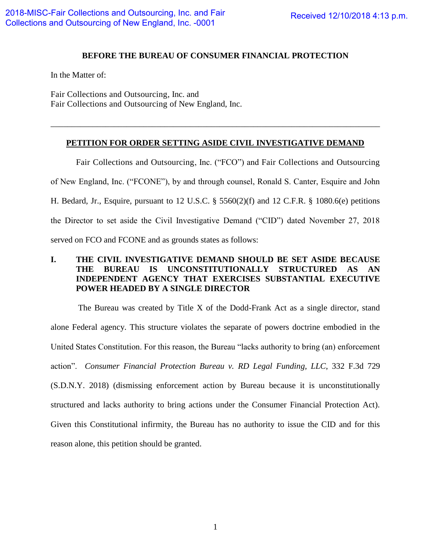### **BEFORE THE BUREAU OF CONSUMER FINANCIAL PROTECTION**

In the Matter of:

Fair Collections and Outsourcing, Inc. and Fair Collections and Outsourcing of New England, Inc.

# **PETITION FOR ORDER SETTING ASIDE CIVIL INVESTIGATIVE DEMAND**

\_\_\_\_\_\_\_\_\_\_\_\_\_\_\_\_\_\_\_\_\_\_\_\_\_\_\_\_\_\_\_\_\_\_\_\_\_\_\_\_\_\_\_\_\_\_\_\_\_\_\_\_\_\_\_\_\_\_\_\_\_\_\_\_\_\_\_\_\_\_\_\_\_\_\_\_\_\_

Fair Collections and Outsourcing, Inc. ("FCO") and Fair Collections and Outsourcing of New England, Inc. ("FCONE"), by and through counsel, Ronald S. Canter, Esquire and John H. Bedard, Jr., Esquire, pursuant to 12 U.S.C. § 5560(2)(f) and 12 C.F.R. § 1080.6(e) petitions the Director to set aside the Civil Investigative Demand ("CID") dated November 27, 2018 served on FCO and FCONE and as grounds states as follows:

# **I. THE CIVIL INVESTIGATIVE DEMAND SHOULD BE SET ASIDE BECAUSE THE BUREAU IS UNCONSTITUTIONALLY STRUCTURED AS AN INDEPENDENT AGENCY THAT EXERCISES SUBSTANTIAL EXECUTIVE POWER HEADED BY A SINGLE DIRECTOR**

The Bureau was created by Title X of the Dodd-Frank Act as a single director, stand alone Federal agency. This structure violates the separate of powers doctrine embodied in the United States Constitution. For this reason, the Bureau "lacks authority to bring (an) enforcement action". *Consumer Financial Protection Bureau v. RD Legal Funding, LLC*, 332 F.3d 729 (S.D.N.Y. 2018) (dismissing enforcement action by Bureau because it is unconstitutionally structured and lacks authority to bring actions under the Consumer Financial Protection Act). Given this Constitutional infirmity, the Bureau has no authority to issue the CID and for this reason alone, this petition should be granted.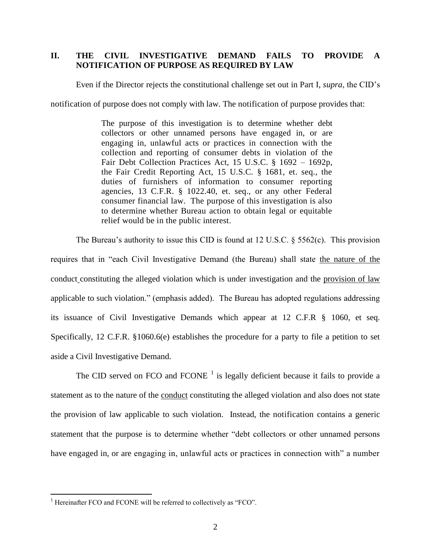### **II. THE CIVIL INVESTIGATIVE DEMAND FAILS TO PROVIDE A NOTIFICATION OF PURPOSE AS REQUIRED BY LAW**

Even if the Director rejects the constitutional challenge set out in Part I, *supra*, the CID's

notification of purpose does not comply with law. The notification of purpose provides that:

The purpose of this investigation is to determine whether debt collectors or other unnamed persons have engaged in, or are engaging in, unlawful acts or practices in connection with the collection and reporting of consumer debts in violation of the Fair Debt Collection Practices Act, 15 U.S.C. § 1692 – 1692p, the Fair Credit Reporting Act, 15 U.S.C. § 1681, et. seq., the duties of furnishers of information to consumer reporting agencies, 13 C.F.R. § 1022.40, et. seq., or any other Federal consumer financial law. The purpose of this investigation is also to determine whether Bureau action to obtain legal or equitable relief would be in the public interest.

The Bureau's authority to issue this CID is found at 12 U.S.C.  $\S$  5562(c). This provision requires that in "each Civil Investigative Demand (the Bureau) shall state the nature of the conduct constituting the alleged violation which is under investigation and the provision of law applicable to such violation." (emphasis added). The Bureau has adopted regulations addressing its issuance of Civil Investigative Demands which appear at 12 C.F.R § 1060, et seq. Specifically, 12 C.F.R. §1060.6(e) establishes the procedure for a party to file a petition to set aside a Civil Investigative Demand.

The CID served on FCO and FCONE  $<sup>1</sup>$  is legally deficient because it fails to provide a</sup> statement as to the nature of the conduct constituting the alleged violation and also does not state the provision of law applicable to such violation. Instead, the notification contains a generic statement that the purpose is to determine whether "debt collectors or other unnamed persons have engaged in, or are engaging in, unlawful acts or practices in connection with" a number

 $\overline{a}$ 

<sup>&</sup>lt;sup>1</sup> Hereinafter FCO and FCONE will be referred to collectively as "FCO".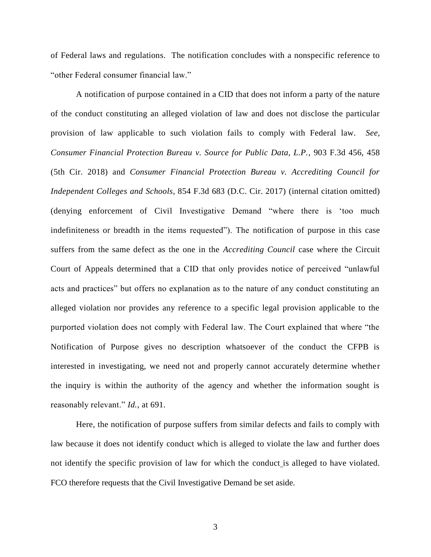of Federal laws and regulations. The notification concludes with a nonspecific reference to "other Federal consumer financial law."

A notification of purpose contained in a CID that does not inform a party of the nature of the conduct constituting an alleged violation of law and does not disclose the particular provision of law applicable to such violation fails to comply with Federal law. *See, Consumer Financial Protection Bureau v. Source for Public Data, L.P.*, 903 F.3d 456, 458 (5th Cir. 2018) and *Consumer Financial Protection Bureau v. Accrediting Council for Independent Colleges and Schools*, 854 F.3d 683 (D.C. Cir. 2017) (internal citation omitted) (denying enforcement of Civil Investigative Demand "where there is 'too much indefiniteness or breadth in the items requested"). The notification of purpose in this case suffers from the same defect as the one in the *Accrediting Council* case where the Circuit Court of Appeals determined that a CID that only provides notice of perceived "unlawful acts and practices" but offers no explanation as to the nature of any conduct constituting an alleged violation nor provides any reference to a specific legal provision applicable to the purported violation does not comply with Federal law. The Court explained that where "the Notification of Purpose gives no description whatsoever of the conduct the CFPB is interested in investigating, we need not and properly cannot accurately determine whether the inquiry is within the authority of the agency and whether the information sought is reasonably relevant." *Id.*, at 691.

Here, the notification of purpose suffers from similar defects and fails to comply with law because it does not identify conduct which is alleged to violate the law and further does not identify the specific provision of law for which the conduct is alleged to have violated. FCO therefore requests that the Civil Investigative Demand be set aside.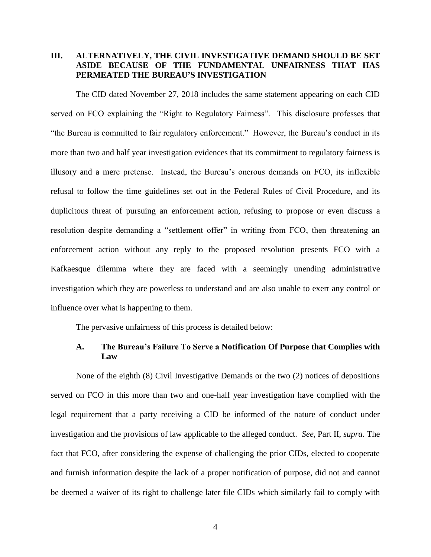## **III. ALTERNATIVELY, THE CIVIL INVESTIGATIVE DEMAND SHOULD BE SET ASIDE BECAUSE OF THE FUNDAMENTAL UNFAIRNESS THAT HAS PERMEATED THE BUREAU'S INVESTIGATION**

The CID dated November 27, 2018 includes the same statement appearing on each CID served on FCO explaining the "Right to Regulatory Fairness". This disclosure professes that "the Bureau is committed to fair regulatory enforcement." However, the Bureau's conduct in its more than two and half year investigation evidences that its commitment to regulatory fairness is illusory and a mere pretense. Instead, the Bureau's onerous demands on FCO, its inflexible refusal to follow the time guidelines set out in the Federal Rules of Civil Procedure, and its duplicitous threat of pursuing an enforcement action, refusing to propose or even discuss a resolution despite demanding a "settlement offer" in writing from FCO, then threatening an enforcement action without any reply to the proposed resolution presents FCO with a Kafkaesque dilemma where they are faced with a seemingly unending administrative investigation which they are powerless to understand and are also unable to exert any control or influence over what is happening to them.

The pervasive unfairness of this process is detailed below:

#### **A. The Bureau's Failure To Serve a Notification Of Purpose that Complies with Law**

None of the eighth (8) Civil Investigative Demands or the two (2) notices of depositions served on FCO in this more than two and one-half year investigation have complied with the legal requirement that a party receiving a CID be informed of the nature of conduct under investigation and the provisions of law applicable to the alleged conduct. *See,* Part II, *supra.* The fact that FCO, after considering the expense of challenging the prior CIDs, elected to cooperate and furnish information despite the lack of a proper notification of purpose, did not and cannot be deemed a waiver of its right to challenge later file CIDs which similarly fail to comply with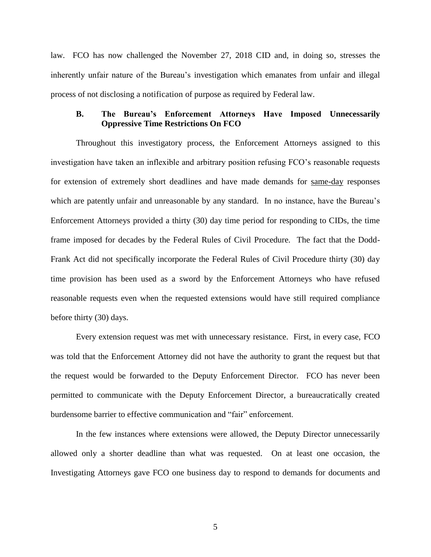law. FCO has now challenged the November 27, 2018 CID and, in doing so, stresses the inherently unfair nature of the Bureau's investigation which emanates from unfair and illegal process of not disclosing a notification of purpose as required by Federal law.

### **B. The Bureau's Enforcement Attorneys Have Imposed Unnecessarily Oppressive Time Restrictions On FCO**

Throughout this investigatory process, the Enforcement Attorneys assigned to this investigation have taken an inflexible and arbitrary position refusing FCO's reasonable requests for extension of extremely short deadlines and have made demands for same-day responses which are patently unfair and unreasonable by any standard. In no instance, have the Bureau's Enforcement Attorneys provided a thirty (30) day time period for responding to CIDs, the time frame imposed for decades by the Federal Rules of Civil Procedure. The fact that the Dodd-Frank Act did not specifically incorporate the Federal Rules of Civil Procedure thirty (30) day time provision has been used as a sword by the Enforcement Attorneys who have refused reasonable requests even when the requested extensions would have still required compliance before thirty (30) days.

Every extension request was met with unnecessary resistance. First, in every case, FCO was told that the Enforcement Attorney did not have the authority to grant the request but that the request would be forwarded to the Deputy Enforcement Director. FCO has never been permitted to communicate with the Deputy Enforcement Director, a bureaucratically created burdensome barrier to effective communication and "fair" enforcement.

In the few instances where extensions were allowed, the Deputy Director unnecessarily allowed only a shorter deadline than what was requested. On at least one occasion, the Investigating Attorneys gave FCO one business day to respond to demands for documents and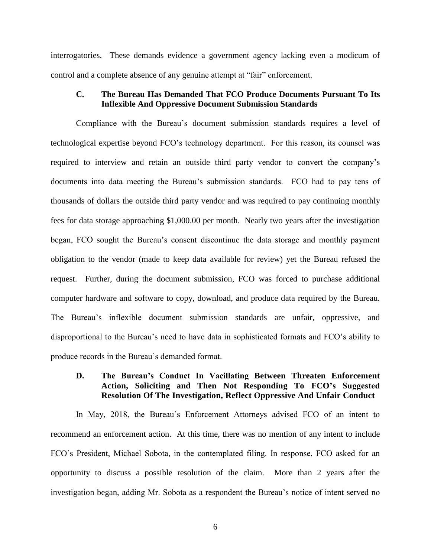interrogatories. These demands evidence a government agency lacking even a modicum of control and a complete absence of any genuine attempt at "fair" enforcement.

### **C. The Bureau Has Demanded That FCO Produce Documents Pursuant To Its Inflexible And Oppressive Document Submission Standards**

Compliance with the Bureau's document submission standards requires a level of technological expertise beyond FCO's technology department. For this reason, its counsel was required to interview and retain an outside third party vendor to convert the company's documents into data meeting the Bureau's submission standards. FCO had to pay tens of thousands of dollars the outside third party vendor and was required to pay continuing monthly fees for data storage approaching \$1,000.00 per month. Nearly two years after the investigation began, FCO sought the Bureau's consent discontinue the data storage and monthly payment obligation to the vendor (made to keep data available for review) yet the Bureau refused the request. Further, during the document submission, FCO was forced to purchase additional computer hardware and software to copy, download, and produce data required by the Bureau. The Bureau's inflexible document submission standards are unfair, oppressive, and disproportional to the Bureau's need to have data in sophisticated formats and FCO's ability to produce records in the Bureau's demanded format.

# **D. The Bureau's Conduct In Vacillating Between Threaten Enforcement Action, Soliciting and Then Not Responding To FCO's Suggested Resolution Of The Investigation, Reflect Oppressive And Unfair Conduct**

 In May, 2018, the Bureau's Enforcement Attorneys advised FCO of an intent to recommend an enforcement action. At this time, there was no mention of any intent to include FCO's President, Michael Sobota, in the contemplated filing. In response, FCO asked for an opportunity to discuss a possible resolution of the claim. More than 2 years after the investigation began, adding Mr. Sobota as a respondent the Bureau's notice of intent served no

6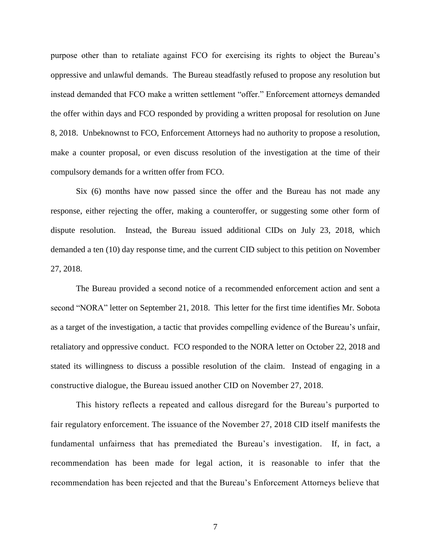purpose other than to retaliate against FCO for exercising its rights to object the Bureau's oppressive and unlawful demands. The Bureau steadfastly refused to propose any resolution but instead demanded that FCO make a written settlement "offer." Enforcement attorneys demanded the offer within days and FCO responded by providing a written proposal for resolution on June 8, 2018. Unbeknownst to FCO, Enforcement Attorneys had no authority to propose a resolution, make a counter proposal, or even discuss resolution of the investigation at the time of their compulsory demands for a written offer from FCO.

Six (6) months have now passed since the offer and the Bureau has not made any response, either rejecting the offer, making a counteroffer, or suggesting some other form of dispute resolution. Instead, the Bureau issued additional CIDs on July 23, 2018, which demanded a ten (10) day response time, and the current CID subject to this petition on November 27, 2018.

The Bureau provided a second notice of a recommended enforcement action and sent a second "NORA" letter on September 21, 2018. This letter for the first time identifies Mr. Sobota as a target of the investigation, a tactic that provides compelling evidence of the Bureau's unfair, retaliatory and oppressive conduct. FCO responded to the NORA letter on October 22, 2018 and stated its willingness to discuss a possible resolution of the claim. Instead of engaging in a constructive dialogue, the Bureau issued another CID on November 27, 2018.

This history reflects a repeated and callous disregard for the Bureau's purported to fair regulatory enforcement. The issuance of the November 27, 2018 CID itself manifests the fundamental unfairness that has premediated the Bureau's investigation. If, in fact, a recommendation has been made for legal action, it is reasonable to infer that the recommendation has been rejected and that the Bureau's Enforcement Attorneys believe that

7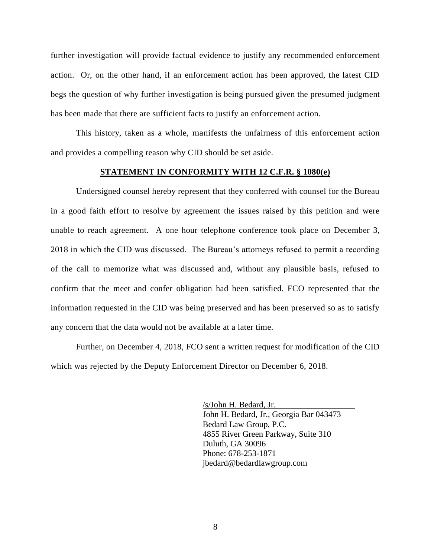further investigation will provide factual evidence to justify any recommended enforcement action. Or, on the other hand, if an enforcement action has been approved, the latest CID begs the question of why further investigation is being pursued given the presumed judgment has been made that there are sufficient facts to justify an enforcement action.

This history, taken as a whole, manifests the unfairness of this enforcement action and provides a compelling reason why CID should be set aside.

#### **STATEMENT IN CONFORMITY WITH 12 C.F.R. § 1080(e)**

 Undersigned counsel hereby represent that they conferred with counsel for the Bureau in a good faith effort to resolve by agreement the issues raised by this petition and were unable to reach agreement. A one hour telephone conference took place on December 3, 2018 in which the CID was discussed. The Bureau's attorneys refused to permit a recording of the call to memorize what was discussed and, without any plausible basis, refused to confirm that the meet and confer obligation had been satisfied. FCO represented that the information requested in the CID was being preserved and has been preserved so as to satisfy any concern that the data would not be available at a later time.

Further, on December 4, 2018, FCO sent a written request for modification of the CID which was rejected by the Deputy Enforcement Director on December 6, 2018.

> /s/John H. Bedard, Jr. John H. Bedard, Jr., Georgia Bar 043473 Bedard Law Group, P.C. 4855 River Green Parkway, Suite 310 Duluth, GA 30096 Phone: 678-253-1871 [jbedard@bedardlawgroup.com](mailto:jbedard@bedardlawgroup.com)